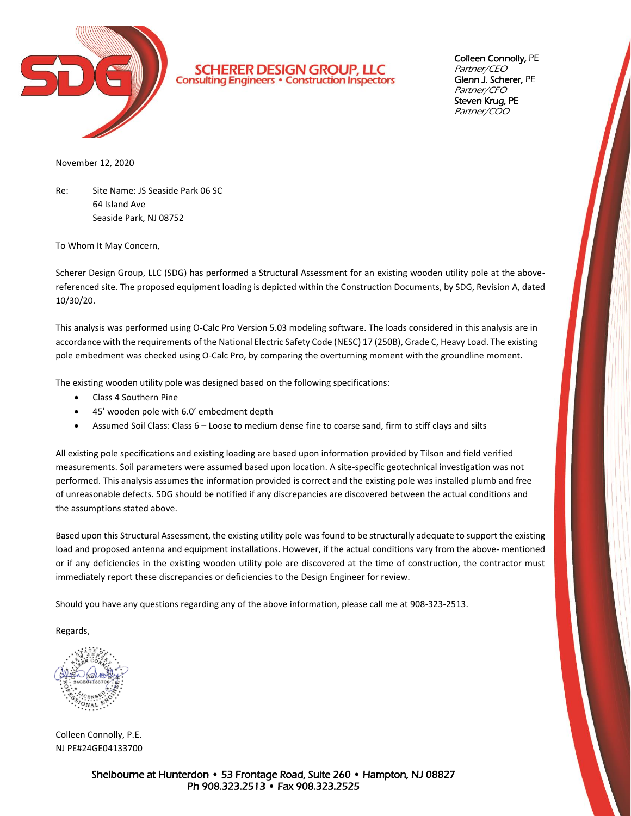

**SCHERER DESIGN GROUP, LLC**<br>Consulting Engineers · Construction Inspectors

Colleen Connolly, PE Partner/CEO Glenn J. Scherer, PE Partner/CFO Steven Krug, PE Partner/COO

November 12, 2020

Re: Site Name: JS Seaside Park 06 SC 64 Island Ave Seaside Park, NJ 08752

To Whom It May Concern,

Scherer Design Group, LLC (SDG) has performed a Structural Assessment for an existing wooden utility pole at the abovereferenced site. The proposed equipment loading is depicted within the Construction Documents, by SDG, Revision A, dated 10/30/20.

This analysis was performed using O-Calc Pro Version 5.03 modeling software. The loads considered in this analysis are in accordance with the requirements of the National Electric Safety Code (NESC) 17 (250B), Grade C, Heavy Load. The existing pole embedment was checked using O-Calc Pro, by comparing the overturning moment with the groundline moment.

The existing wooden utility pole was designed based on the following specifications:

- Class 4 Southern Pine
- 45' wooden pole with 6.0' embedment depth
- Assumed Soil Class: Class 6 Loose to medium dense fine to coarse sand, firm to stiff clays and silts

All existing pole specifications and existing loading are based upon information provided by Tilson and field verified measurements. Soil parameters were assumed based upon location. A site-specific geotechnical investigation was not performed. This analysis assumes the information provided is correct and the existing pole was installed plumb and free of unreasonable defects. SDG should be notified if any discrepancies are discovered between the actual conditions and the assumptions stated above.

Based upon this Structural Assessment, the existing utility pole was found to be structurally adequate to support the existing load and proposed antenna and equipment installations. However, if the actual conditions vary from the above- mentioned or if any deficiencies in the existing wooden utility pole are discovered at the time of construction, the contractor must immediately report these discrepancies or deficiencies to the Design Engineer for review.

Should you have any questions regarding any of the above information, please call me at 908-323-2513.

Regards,

Colleen Connolly, P.E. NJ PE#24GE04133700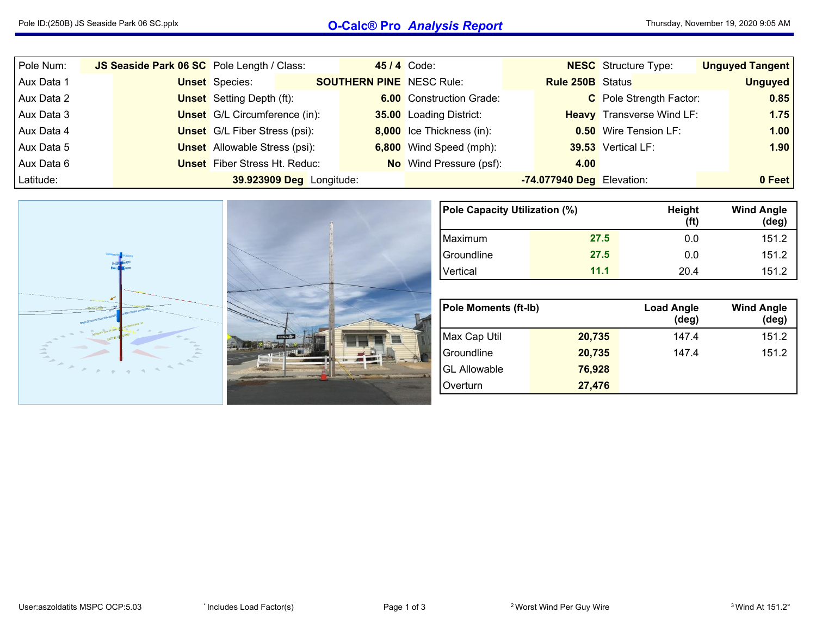## Pole ID:(250B) JS Seaside Park <sup>06</sup> SC.pplx **O-Calc® Pro** *Analysis Report*

| Pole Num:  |  |                                      | JS Seaside Park 06 SC Pole Length / Class: |  | <b>45/4 Code:</b>               |                           | <b>NESC</b> Structure Type:      |  | <b>Unguyed Tangent</b> |
|------------|--|--------------------------------------|--------------------------------------------|--|---------------------------------|---------------------------|----------------------------------|--|------------------------|
| Aux Data 1 |  | <b>Unset</b> Species:                | <b>SOUTHERN PINE</b> NESC Rule:            |  |                                 | <b>Rule 250B</b> Status   |                                  |  | <b>Unguyed</b>         |
| Aux Data 2 |  | <b>Unset</b> Setting Depth (ft):     |                                            |  | <b>6.00</b> Construction Grade: |                           | C Pole Strength Factor:          |  | 0.85                   |
| Aux Data 3 |  | <b>Unset</b> G/L Circumference (in): |                                            |  | <b>35.00</b> Loading District:  |                           | <b>Heavy</b> Transverse Wind LF: |  | 1.75                   |
| Aux Data 4 |  | <b>Unset</b> G/L Fiber Stress (psi): |                                            |  | 8,000 Ice Thickness (in):       |                           | <b>0.50</b> Wire Tension LF:     |  | 1.00                   |
| Aux Data 5 |  | <b>Unset</b> Allowable Stress (psi): |                                            |  | 6,800 Wind Speed (mph):         |                           | 39.53 Vertical LF:               |  | 1.90                   |
| Aux Data 6 |  | <b>Unset</b> Fiber Stress Ht. Reduc: |                                            |  | <b>No</b> Wind Pressure (psf):  | 4.00                      |                                  |  |                        |
| Latitude:  |  |                                      | 39.923909 Deg Longitude:                   |  |                                 | -74.077940 Deg Elevation: |                                  |  | 0 Feet                 |



| Pole Capacity Utilization (%) |      | Height<br>(f <sup>t</sup> ) | <b>Wind Angle</b><br>$(\text{deg})$ |
|-------------------------------|------|-----------------------------|-------------------------------------|
| Maximum                       | 27.5 | 0.0                         | 151.2                               |
| Groundline                    | 27.5 | 0.0                         | 151.2                               |
| Vertical                      | 11.1 | 204                         | 151.2                               |

| <b>Pole Moments (ft-lb)</b> |        | <b>Load Angle</b><br>$(\text{deg})$ | <b>Wind Angle</b><br>$(\text{deg})$ |
|-----------------------------|--------|-------------------------------------|-------------------------------------|
| Max Cap Util                | 20,735 | 147.4                               | 151.2                               |
| Groundline                  | 20,735 | 147.4                               | 151.2                               |
| <b>GL Allowable</b>         | 76,928 |                                     |                                     |
| Overturn                    | 27,476 |                                     |                                     |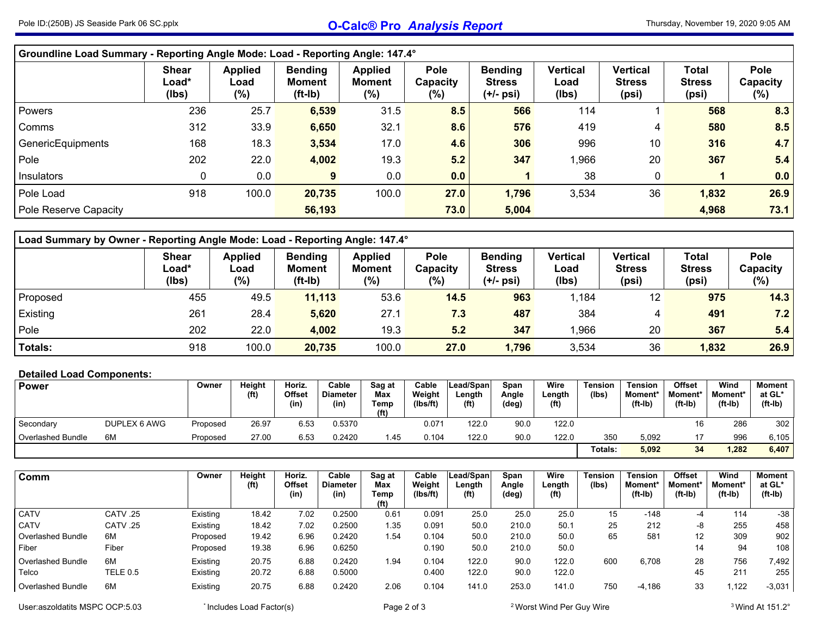| Groundline Load Summary - Reporting Angle Mode: Load - Reporting Angle: 147.4° |                                |                                  |                                              |                                            |                                   |                                              |                                  |                                           |                                 |                                   |
|--------------------------------------------------------------------------------|--------------------------------|----------------------------------|----------------------------------------------|--------------------------------------------|-----------------------------------|----------------------------------------------|----------------------------------|-------------------------------------------|---------------------------------|-----------------------------------|
|                                                                                | <b>Shear</b><br>Load*<br>(Ibs) | <b>Applied</b><br>Load<br>$(\%)$ | <b>Bending</b><br><b>Moment</b><br>$(ft-lb)$ | <b>Applied</b><br><b>Moment</b><br>$(\% )$ | <b>Pole</b><br>Capacity<br>$(\%)$ | <b>Bending</b><br><b>Stress</b><br>(+/- psi) | <b>Vertical</b><br>Load<br>(lbs) | <b>Vertical</b><br><b>Stress</b><br>(psi) | Total<br><b>Stress</b><br>(psi) | <b>Pole</b><br>Capacity<br>$(\%)$ |
| Powers                                                                         | 236                            | 25.7                             | 6,539                                        | 31.5                                       | 8.5                               | 566                                          | 114                              |                                           | 568                             | 8.3                               |
| Comms                                                                          | 312                            | 33.9                             | 6,650                                        | 32.1                                       | 8.6                               | 576                                          | 419                              | 4                                         | 580                             | 8.5                               |
| GenericEquipments                                                              | 168                            | 18.3                             | 3,534                                        | 17.0                                       | 4.6                               | 306                                          | 996                              | 10                                        | 316                             | 4.7                               |
| Pole                                                                           | 202                            | 22.0                             | 4,002                                        | 19.3                                       | 5.2                               | 347                                          | 1,966                            | 20                                        | 367                             | 5.4                               |
| Insulators                                                                     | 0                              | 0.0                              | 9                                            | 0.0                                        | 0.0                               |                                              | 38                               | 0                                         |                                 | 0.0                               |
| Pole Load                                                                      | 918                            | 100.0                            | 20,735                                       | 100.0                                      | 27.0                              | 1,796                                        | 3,534                            | 36                                        | 1,832                           | 26.9                              |
| Pole Reserve Capacity                                                          |                                |                                  | 56,193                                       |                                            | 73.0                              | 5,004                                        |                                  |                                           | 4,968                           | 73.1                              |

| Load Summary by Owner - Reporting Angle Mode: Load - Reporting Angle: 147.4° |                                          |                                  |                                              |                                        |                                |                                              |                                  |                                    |                                        |                            |  |  |  |
|------------------------------------------------------------------------------|------------------------------------------|----------------------------------|----------------------------------------------|----------------------------------------|--------------------------------|----------------------------------------------|----------------------------------|------------------------------------|----------------------------------------|----------------------------|--|--|--|
|                                                                              | <b>Shear</b><br>$\text{Load}^*$<br>(lbs) | <b>Applied</b><br>Load<br>$(\%)$ | <b>Bending</b><br><b>Moment</b><br>$(ft-lb)$ | <b>Applied</b><br><b>Moment</b><br>(%) | <b>Pole</b><br>Capacity<br>(%) | <b>Bending</b><br><b>Stress</b><br>(+/- psi) | <b>Vertical</b><br>Load<br>(lbs) | Vertical<br><b>Stress</b><br>(psi) | <b>Total</b><br><b>Stress</b><br>(psi) | Pole<br>Capacity<br>$(\%)$ |  |  |  |
| <b>Proposed</b>                                                              | 455                                      | 49.5                             | 11,113                                       | 53.6                                   | 14.5                           | 963                                          | 1.184                            | 12                                 | 975                                    | 14.3                       |  |  |  |
| Existing                                                                     | 261                                      | 28.4                             | 5,620                                        | 27.1                                   | 7.3                            | 487                                          | 384                              | 4                                  | 491                                    | 7.2                        |  |  |  |
| Pole                                                                         | 202                                      | 22.0                             | 4,002                                        | 19.3                                   | 5.2                            | 347                                          | 1.966                            | 20                                 | 367                                    | 5.4                        |  |  |  |
| <b>Totals:</b>                                                               | 918                                      | 100.0                            | 20,735                                       | 100.0                                  | 27.0                           | 1,796                                        | 3,534                            | 36                                 | 1,832                                  | 26.9                       |  |  |  |

## **Detailed Load Components:**

| <b>Power</b>             |              | Owner    | Height | Horiz.         | Cable                   | Sag at                           | Cable              | Lead/Spanl                  | Span           | Wire                        | <b>Tension</b> | <b>Tension</b>               | <b>Offset</b>        | Wind                 | Moment              |
|--------------------------|--------------|----------|--------|----------------|-------------------------|----------------------------------|--------------------|-----------------------------|----------------|-----------------------------|----------------|------------------------------|----------------------|----------------------|---------------------|
|                          |              |          | (ft)   | Offset<br>(in) | <b>Diameter</b><br>(in) | Max<br>Temp<br>(f <sup>t</sup> ) | Weight<br>(Ibs/ft) | ∟ength<br>(f <sup>t</sup> ) | Angle<br>(deg) | Length<br>(f <sup>t</sup> ) | (lbs)          | <b>Moment</b> *<br>$(ft-lb)$ | Moment*<br>$(ft-lb)$ | Moment*<br>$(ft-lb)$ | at GL*<br>$(ft-lb)$ |
| Secondary                | DUPLEX 6 AWG | Proposed | 26.97  | 6.53           | 0.5370                  |                                  | 0.071              | 122.0                       | 90.0           | 122.0                       |                |                              | 16                   | 286                  | 302                 |
| <b>Overlashed Bundle</b> | 6M           | Proposed | 27.00  | 6.53           | 0.2420                  | 1.45                             | 0.104              | 122.0                       | 90.0           | 122.0                       | 350            | 5,092                        |                      | 996                  | 6,105               |
|                          |              |          |        |                |                         |                                  |                    |                             |                |                             | Totals:        | 5,092                        | 34                   | ,282                 | 6,407               |

| Comm                     |          | Owner    | Height<br>(f <sup>t</sup> ) | Horiz.<br>Offset<br>(in) | Cable<br><b>Diameter</b><br>(in) | Sag at<br><b>Max</b><br>Temp<br>(f <sup>t</sup> ) | Cable<br>Weight<br>(Ibs/ft) | Lead/Span<br>Length<br>(f <sup>t</sup> ) | Span<br>Angle<br>(deg) | Wire<br>Length<br>(f <sup>t</sup> ) | <b>Tension</b><br>(lbs) | <b>Tension</b><br><b>Moment*</b><br>$(ft-lb)$ | Offset<br>Moment*<br>$(ft-lb)$ | Wind<br>Moment*<br>$(ft-lb)$ | <b>Moment</b><br>at GL*<br>$(ft-lb)$ |
|--------------------------|----------|----------|-----------------------------|--------------------------|----------------------------------|---------------------------------------------------|-----------------------------|------------------------------------------|------------------------|-------------------------------------|-------------------------|-----------------------------------------------|--------------------------------|------------------------------|--------------------------------------|
| <b>CATV</b>              | CATV .25 | Existing | 18.42                       | 7.02                     | 0.2500                           | 0.61                                              | 0.091                       | 25.0                                     | 25.0                   | 25.0                                | 15                      | $-148$                                        | -4                             | 114                          | $-38$                                |
| <b>CATV</b>              | CATV .25 | Existing | 18.42                       | 7.02                     | 0.2500                           | 1.35                                              | 0.091                       | 50.0                                     | 210.0                  | 50.1                                | 25                      | 212                                           | -8                             | 255                          | 458                                  |
| <b>Overlashed Bundle</b> | 6M       | Proposed | 19.42                       | 6.96                     | 0.2420                           | l.54                                              | 0.104                       | 50.0                                     | 210.0                  | 50.0                                | 65                      | 581                                           | 12                             | 309                          | 902                                  |
| Fiber                    | Fiber    | Proposed | 19.38                       | 6.96                     | 0.6250                           |                                                   | 0.190                       | 50.0                                     | 210.0                  | 50.0                                |                         |                                               | 14                             | 94                           | 108                                  |
| <b>Overlashed Bundle</b> | 6M       | Existing | 20.75                       | 6.88                     | 0.2420                           | l.94                                              | 0.104                       | 122.0                                    | 90.0                   | 122.0                               | 600                     | 6,708                                         | 28                             | 756                          | 7,492                                |
| Telco                    | TELE 0.5 | Existing | 20.72                       | 6.88                     | 0.5000                           |                                                   | 0.400                       | 122.0                                    | 90.0                   | 122.0                               |                         |                                               | 45                             | 211                          | 255                                  |
| <b>Overlashed Bundle</b> | 6M       | Existing | 20.75                       | 6.88                     | 0.2420                           | 2.06                                              | 0.104                       | 141.0                                    | 253.0                  | 141.0                               | 750                     | $-4,186$                                      | 33                             | .122                         | $-3,031$                             |